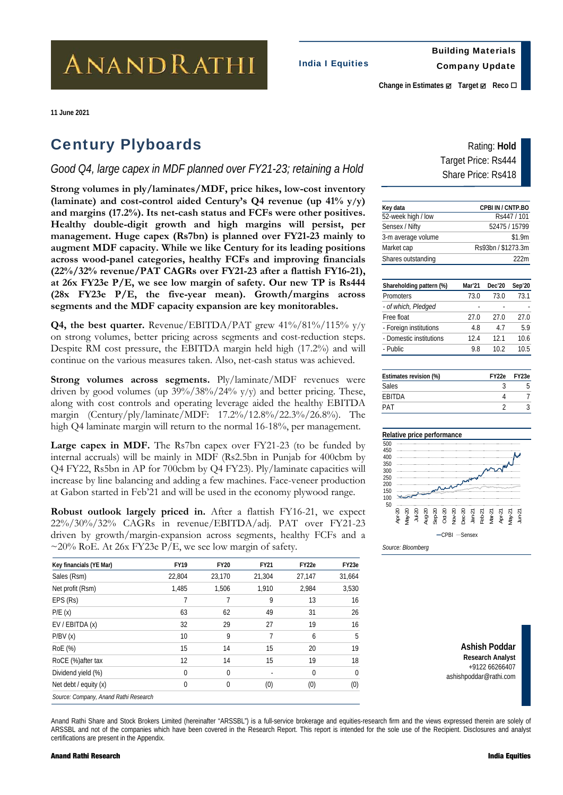# ANANDRATHI

**11 June 2021** 

# Century Plyboards

# *Good Q4, large capex in MDF planned over FY21-23; retaining a Hold*

**Strong volumes in ply/laminates/MDF, price hikes, low-cost inventory (laminate) and cost-control aided Century's Q4 revenue (up 41% y/y) and margins (17.2%). Its net-cash status and FCFs were other positives. Healthy double-digit growth and high margins will persist, per management. Huge capex (Rs7bn) is planned over FY21-23 mainly to augment MDF capacity. While we like Century for its leading positions across wood-panel categories, healthy FCFs and improving financials (22%/32% revenue/PAT CAGRs over FY21-23 after a flattish FY16-21), at 26x FY23e P/E, we see low margin of safety. Our new TP is Rs444 (28x FY23e P/E, the five-year mean). Growth/margins across segments and the MDF capacity expansion are key monitorables.** 

**Q4, the best quarter.** Revenue/EBITDA/PAT grew 41%/81%/115% y/y on strong volumes, better pricing across segments and cost-reduction steps. Despite RM cost pressure, the EBITDA margin held high (17.2%) and will continue on the various measures taken. Also, net-cash status was achieved.

**Strong volumes across segments.** Ply/laminate/MDF revenues were driven by good volumes (up  $39\%/38\%/24\%$  y/y) and better pricing. These, along with cost controls and operating leverage aided the healthy EBITDA margin (Century/ply/laminate/MDF: 17.2%/12.8%/22.3%/26.8%). The high Q4 laminate margin will return to the normal 16-18%, per management.

at Gabon started in Feb'21 and will be used in the economy plywood range. Large capex in MDF. The Rs7bn capex over FY21-23 (to be funded by internal accruals) will be mainly in MDF (Rs2.5bn in Punjab for 400cbm by Q4 FY22, Rs5bn in AP for 700cbm by Q4 FY23). Ply/laminate capacities will increase by line balancing and adding a few machines. Face-veneer production

**Robust outlook largely priced in.** After a flattish FY16-21, we expect 22%/30%/32% CAGRs in revenue/EBITDA/adj. PAT over FY21-23 driven by growth/margin-expansion across segments, healthy FCFs and a  $\sim$ 20% RoE. At 26x FY23e P/E, we see low margin of safety.

| <b>FY19</b>                           | <b>FY20</b> | <b>FY21</b>              | FY22e       | FY23e        |
|---------------------------------------|-------------|--------------------------|-------------|--------------|
| 22,804                                | 23,170      | 21,304                   | 27,147      | 31,664       |
| 1,485                                 | 1,506       | 1,910                    | 2,984       | 3,530        |
| 7                                     | 7           | 9                        | 13          | 16           |
| 63                                    | 62          | 49                       | 31          | 26           |
| 32                                    | 29          | 27                       | 19          | 16           |
| 10                                    | 9           | 7                        | 6           | 5            |
| 15                                    | 14          | 15                       | 20          | 19           |
| 12                                    | 14          | 15                       | 19          | 18           |
| $\mathbf 0$                           | $\mathbf 0$ | $\overline{\phantom{a}}$ | $\mathbf 0$ | $\mathbf{0}$ |
| 0                                     | $\Omega$    | (0)                      | (0)         | (0)          |
| Source: Company, Anand Rathi Research |             |                          |             |              |
|                                       |             |                          |             |              |

Rating: **Hold** Target Price: Rs444 Share Price: Rs418

| Key data           | CPBI IN / CNTP.BO  |
|--------------------|--------------------|
| 52-week high / low | Rs447/101          |
| Sensex / Nifty     | 52475 / 15799      |
| 3-m average volume | \$1.9m             |
| Market cap         | Rs93bn / \$1273.3m |
| Shares outstanding | 222m               |

| Shareholding pattern (%) | Mar'21 | Dec'20 | Sep'20 |
|--------------------------|--------|--------|--------|
| Promoters                | 73.0   | 73.0   | 73.1   |
| - of which, Pledged      |        |        |        |
| Free float               | 270    | 270    | 27 O   |
| - Foreign institutions   | 48     | 47     | 59     |
| - Domestic institutions  | 12.4   | 12.1   | 10.6   |
| - Public                 | 98     | 10.2   | 10.5   |

| Estimates revision (%) | FY22e FY23e |
|------------------------|-------------|
| <b>Sales</b>           |             |
| EBITDA                 |             |
| D A 1                  |             |

#### **Relative price performance**



*Source: Bloomberg* 

**Ashish Poddar Research Analyst**  +9122 66266407 ashishpoddar@rathi.com

Anand Rathi Share and Stock Brokers Limited (hereinafter "ARSSBL") is a full-service brokerage and equities-research firm and the views expressed therein are solely of ARSSBL and not of the companies which have been covered in the Research Report. This report is intended for the sole use of the Recipient. Disclosures and analyst certifications are present in the Appendix.

#### Building Materials

India I Equities **Company Update** 

**Change in Estimates <b>Ø** Target **Ø** Reco □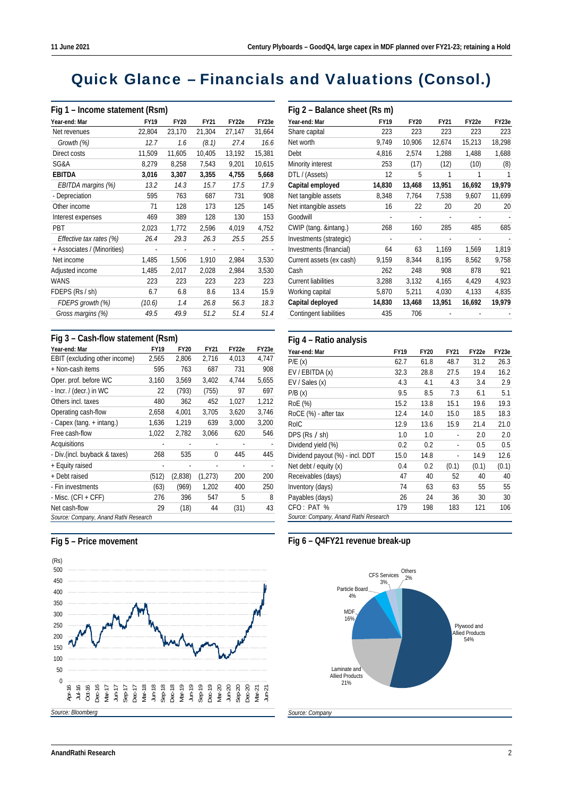# Quick Glance – Financials and Valuations (Consol.)

|                             | Fig 1 - Income statement (Rsm) |                |             |        |        |  |  |  |
|-----------------------------|--------------------------------|----------------|-------------|--------|--------|--|--|--|
| Year-end: Mar               | <b>FY19</b>                    | <b>FY20</b>    | <b>FY21</b> | FY22e  | FY23e  |  |  |  |
| Net revenues                | 22,804                         | 23,170         | 21,304      | 27,147 | 31,664 |  |  |  |
| Growth (%)                  | 12.7                           | 1.6            | (8.1)       | 27.4   | 16.6   |  |  |  |
| Direct costs                | 11,509                         | 11,605         | 10,405      | 13,192 | 15,381 |  |  |  |
| SG&A                        | 8,279                          | 8,258          | 7,543       | 9,201  | 10,615 |  |  |  |
| <b>EBITDA</b>               | 3,016                          | 3,307          | 3,355       | 4,755  | 5,668  |  |  |  |
| EBITDA margins (%)          | 13.2                           | 14.3           | 15.7        | 17.5   | 17.9   |  |  |  |
| - Depreciation              | 595                            | 763            | 687         | 731    | 908    |  |  |  |
| Other income                | 71                             | 128            | 173         | 125    | 145    |  |  |  |
| Interest expenses           | 469                            | 389            | 128         | 130    | 153    |  |  |  |
| PBT                         | 2,023                          | 1,772          | 2,596       | 4,019  | 4,752  |  |  |  |
| Effective tax rates (%)     | 26.4                           | 29.3           | 26.3        | 25.5   | 25.5   |  |  |  |
| + Associates / (Minorities) |                                | $\overline{a}$ |             |        |        |  |  |  |
| Net income                  | 1,485                          | 1,506          | 1,910       | 2,984  | 3,530  |  |  |  |
| Adjusted income             | 1,485                          | 2,017          | 2,028       | 2,984  | 3,530  |  |  |  |
| WANS                        | 223                            | 223            | 223         | 223    | 223    |  |  |  |
| FDEPS (Rs / sh)             | 6.7                            | 6.8            | 8.6         | 13.4   | 15.9   |  |  |  |
| FDEPS growth (%)            | (10.6)                         | 1.4            | 26.8        | 56.3   | 18.3   |  |  |  |
| Gross margins (%)           | 49.5                           | 49.9           | 51.2        | 51.4   | 51.4   |  |  |  |

### **Fig 3 – Cash-flow statement (Rsm)**

| Year-end: Mar                         | <b>FY19</b> | <b>FY20</b> | FY21    | FY22e | FY23e |
|---------------------------------------|-------------|-------------|---------|-------|-------|
| EBIT (excluding other income)         | 2,565       | 2,806       | 2,716   | 4,013 | 4,747 |
| + Non-cash items                      | 595         | 763         | 687     | 731   | 908   |
| Oper. prof. before WC                 | 3,160       | 3,569       | 3,402   | 4,744 | 5,655 |
| - Incr. $/$ (decr.) in WC             | 22          | (793)       | (755)   | 97    | 697   |
| Others incl. taxes                    | 480         | 362         | 452     | 1,027 | 1,212 |
| Operating cash-flow                   | 2,658       | 4,001       | 3,705   | 3,620 | 3,746 |
| - Capex (tang. + intang.)             | 1,636       | 1,219       | 639     | 3,000 | 3,200 |
| Free cash-flow                        | 1,022       | 2,782       | 3,066   | 620   | 546   |
| Acquisitions                          |             |             |         |       |       |
| - Div. (incl. buyback & taxes)        | 268         | 535         | 0       | 445   | 445   |
| + Equity raised                       |             |             |         |       |       |
| + Debt raised                         | (512)       | (2,838)     | (1,273) | 200   | 200   |
| - Fin investments                     | (63)        | (969)       | 1,202   | 400   | 250   |
| $-Misc.$ (CFI + CFF)                  | 276         | 396         | 547     | 5     | 8     |
| Net cash-flow                         | 29          | (18)        | 44      | (31)  | 43    |
| Source: Company, Anand Rathi Research |             |             |         |       |       |



#### **Fig 4 – Ratio analysis**

| Year-end: Mar                         | <b>FY19</b> | <b>FY20</b> | <b>FY21</b>    | FY22e | FY23e |
|---------------------------------------|-------------|-------------|----------------|-------|-------|
| P/E(x)                                | 62.7        | 61.8        | 48.7           | 31.2  | 26.3  |
| EV / EBITDA (x)                       | 32.3        | 28.8        | 27.5           | 19.4  | 16.2  |
| EV / Sales (x)                        | 4.3         | 4.1         | 4.3            | 3.4   | 2.9   |
| P/B(x)                                | 9.5         | 8.5         | 7.3            | 6.1   | 5.1   |
| RoE (%)                               | 15.2        | 13.8        | 15.1           | 19.6  | 19.3  |
| RoCE (%) - after tax                  | 12.4        | 14.0        | 15.0           | 18.5  | 18.3  |
| RoIC                                  | 12.9        | 13.6        | 15.9           | 21.4  | 21.0  |
| DPS $(Rs / sh)$                       | 1.0         | 1.0         | $\overline{a}$ | 2.0   | 2.0   |
| Dividend yield (%)                    | 0.2         | 0.2         | ä,             | 0.5   | 0.5   |
| Dividend payout (%) - incl. DDT       | 15.0        | 14.8        | ä,             | 14.9  | 12.6  |
| Net debt / equity $(x)$               | 0.4         | 0.2         | (0.1)          | (0.1) | (0.1) |
| Receivables (days)                    | 47          | 40          | 52             | 40    | 40    |
| Inventory (days)                      | 74          | 63          | 63             | 55    | 55    |
| Payables (days)                       | 26          | 24          | 36             | 30    | 30    |
| CFO: PAT %                            | 179         | 198         | 183            | 121   | 106   |
| Source: Company, Anand Rathi Research |             |             |                |       |       |

### **Fig 6 – Q4FY21 revenue break-up**



## **Fig 5 – Price movement**

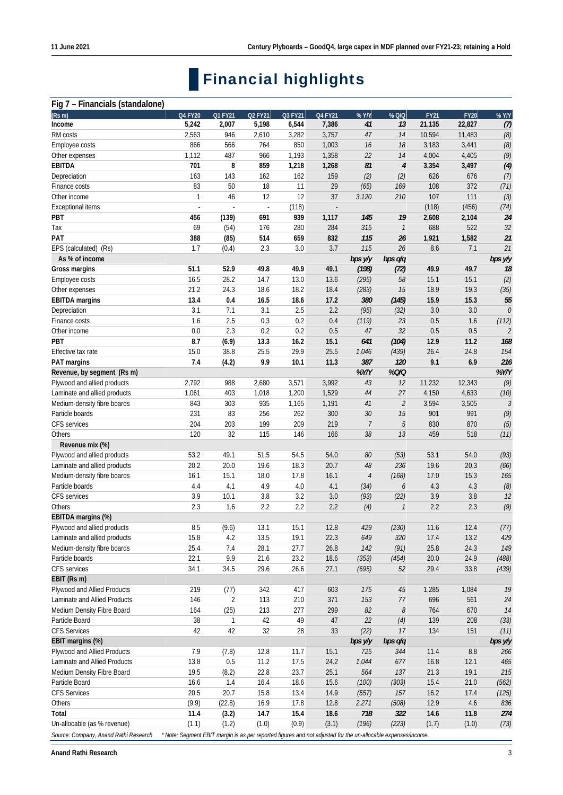# **Financial highlights**

#### **Fig 7 – Financials (standalone)**

| <u>.</u><br>$\cdots$ $\cdots$ $\cdots$ $\cdots$ $\cdots$<br>(Rs m) | Q4 FY20                                                                                                       | Q1 FY21        | Q2 FY21                  | Q3 FY21 | Q4 FY21 | % Y/Y                    | % Q/Q            | <b>FY21</b> | <b>FY20</b> | $%$ Y/Y        |
|--------------------------------------------------------------------|---------------------------------------------------------------------------------------------------------------|----------------|--------------------------|---------|---------|--------------------------|------------------|-------------|-------------|----------------|
| Income                                                             | 5,242                                                                                                         | 2,007          | 5,198                    | 6,544   | 7,386   | 41                       | 13               | 21,135      | 22,827      | (7)            |
| RM costs                                                           | 2,563                                                                                                         | 946            | 2,610                    | 3,282   | 3,757   | 47                       | 14               | 10,594      | 11,483      | (8)            |
| Employee costs                                                     | 866                                                                                                           | 566            | 764                      | 850     | 1,003   | 16                       | 18               | 3,183       | 3,441       | (8)            |
| Other expenses                                                     | 1,112                                                                                                         | 487            | 966                      | 1,193   | 1,358   | 22                       | 14               | 4,004       | 4,405       | (9)            |
| <b>EBITDA</b>                                                      | 701                                                                                                           | 8              | 859                      | 1,218   | 1,268   | 81                       | $\boldsymbol{4}$ | 3,354       | 3,497       | (4)            |
| Depreciation                                                       | 163                                                                                                           | 143            | 162                      | 162     | 159     | (2)                      | (2)              | 626         | 676         | (7)            |
| Finance costs                                                      | 83                                                                                                            | 50             | 18                       | 11      | 29      | (65)                     | 169              | 108         | 372         | (71)           |
| Other income                                                       | $\mathbf{1}$                                                                                                  | 46             | 12                       | 12      | 37      | 3,120                    | 210              | 107         | 111         | (3)            |
| <b>Exceptional items</b>                                           | ÷,                                                                                                            |                | $\overline{\phantom{a}}$ | (118)   |         |                          |                  | (118)       | (456)       | (74)           |
| PBT                                                                | 456                                                                                                           | (139)          | 691                      | 939     | 1,117   | 145                      | 19               | 2,608       | 2,104       | 24             |
| Tax                                                                | 69                                                                                                            | (54)           | 176                      | 280     | 284     | 315                      | $\mathcal{I}$    | 688         | 522         | 32             |
| PAT                                                                | 388                                                                                                           | (85)           | 514                      | 659     | 832     | 115                      | 26               | 1,921       | 1,582       | 21             |
| EPS (calculated) (Rs)                                              | 1.7                                                                                                           | (0.4)          | 2.3                      | 3.0     | 3.7     | 115                      | $26\,$           | 8.6         | 7.1         | 21             |
| As % of income                                                     |                                                                                                               |                |                          |         |         | bps y/y                  | bps q/q          |             |             | bps y/y        |
| Gross margins                                                      | 51.1                                                                                                          | 52.9           | 49.8                     | 49.9    | 49.1    | (198)                    | (72)             | 49.9        | 49.7        | 18             |
| Employee costs                                                     | 16.5                                                                                                          | 28.2           | 14.7                     | 13.0    | 13.6    | (295)                    | 58               | 15.1        | 15.1        | (2)            |
| Other expenses                                                     | 21.2                                                                                                          | 24.3           | 18.6                     | 18.2    | 18.4    | (283)                    | 15               | 18.9        | 19.3        | (35)           |
| <b>EBITDA</b> margins                                              | 13.4                                                                                                          | 0.4            | 16.5                     | 18.6    | 17.2    | 380                      | (145)            | 15.9        | 15.3        | 55             |
| Depreciation                                                       | 3.1                                                                                                           | 7.1            | 3.1                      | 2.5     | 2.2     | (95)                     | (32)             | 3.0         | 3.0         | $\mathcal O$   |
| Finance costs                                                      | 1.6                                                                                                           | 2.5            | 0.3                      | 0.2     | 0.4     | (119)                    | 23               | 0.5         | 1.6         | (112)          |
| Other income                                                       | 0.0                                                                                                           | 2.3            | 0.2                      | 0.2     | 0.5     | $47\,$                   | 32               | 0.5         | 0.5         | $\overline{2}$ |
| PBT                                                                | 8.7                                                                                                           | (6.9)          | 13.3                     | 16.2    | 15.1    | 641                      | (104)            | 12.9        | 11.2        | 168            |
| Effective tax rate                                                 | 15.0                                                                                                          | 38.8           | 25.5                     | 29.9    | 25.5    | 1,046                    | (439)            | 26.4        | 24.8        | 154            |
| PAT margins                                                        | 7.4                                                                                                           | (4.2)          | 9.9                      | 10.1    | 11.3    | 387                      | 120              | 9.1         | 6.9         | 216            |
| Revenue, by segment (Rs m)                                         |                                                                                                               |                |                          |         |         | %Y/Y                     | %Q/Q             |             |             | %Y/Y           |
| Plywood and allied products                                        | 2,792                                                                                                         | 988            | 2,680                    | 3,571   | 3,992   | 43                       | 12               | 11,232      | 12,343      | (9)            |
| Laminate and allied products                                       | 1,061                                                                                                         | 403            | 1,018                    | 1,200   | 1,529   | $44$                     | 27               | 4,150       | 4,633       | (10)           |
| Medium-density fibre boards                                        | 843                                                                                                           | 303            | 935                      | 1,165   | 1,191   | $41\,$                   | $\overline{2}$   | 3,594       | 3,505       | 3              |
| Particle boards                                                    | 231                                                                                                           | 83             | 256                      | 262     | 300     | $30\,$                   | 15               | 901         | 991         | (9)            |
| CFS services                                                       | 204                                                                                                           | 203            | 199                      | 209     | 219     | $\overline{7}$           | $\sqrt{5}$       | 830         | 870         | (5)            |
| Others                                                             | 120                                                                                                           | 32             | 115                      | 146     | 166     | $38\,$                   | 13               | 459         | 518         | (11)           |
| Revenue mix (%)                                                    |                                                                                                               |                |                          |         |         |                          |                  |             |             |                |
| Plywood and allied products                                        | 53.2                                                                                                          | 49.1           | 51.5                     | 54.5    | 54.0    | 80                       | (53)             | 53.1        | 54.0        | (93)           |
| Laminate and allied products                                       | 20.2                                                                                                          | 20.0           | 19.6                     | 18.3    | 20.7    | 48                       | 236              | 19.6        | 20.3        | (66)           |
| Medium-density fibre boards                                        | 16.1                                                                                                          | 15.1           | 18.0                     | 17.8    | 16.1    | $\sqrt{4}$               | (168)            | 17.0        | 15.3        | 165            |
| Particle boards                                                    | 4.4                                                                                                           | 4.1            | 4.9                      | 4.0     | 4.1     | (34)                     | 6                | 4.3         | 4.3         | (8)            |
| CFS services                                                       | 3.9                                                                                                           | 10.1           | 3.8                      | 3.2     | 3.0     | (93)                     | (22)             | 3.9         | 3.8         | 12             |
| Others                                                             | 2.3                                                                                                           | 1.6            | 2.2                      | 2.2     | 2.2     | (4)                      | $\mathcal{I}$    | 2.2         | 2.3         | (9)            |
| EBITDA margins (%)                                                 |                                                                                                               |                |                          |         |         |                          |                  |             |             |                |
| Plywood and allied products                                        | 8.5                                                                                                           | (9.6)          | 13.1                     | 15.1    | 12.8    | 429                      | (230)            | 11.6        | 12.4        | (77)           |
| Laminate and allied products                                       | 15.8                                                                                                          | 4.2            | 13.5                     | 19.1    | 22.3    | 649                      | 320              | 17.4        | 13.2        | 429            |
| Medium-density fibre boards                                        | 25.4                                                                                                          | 7.4            | 28.1                     | 27.7    | 26.8    | 142                      | (91)             | 25.8        | 24.3        | 149            |
| Particle boards                                                    | 22.1                                                                                                          | 9.9            | 21.6                     | 23.2    | 18.6    | (353)                    | (454)            | 20.0        | 24.9        | (488)          |
| CFS services                                                       | 34.1                                                                                                          | 34.5           | 29.6                     | 26.6    | 27.1    | (695)                    | 52               | 29.4        | 33.8        | (439)          |
| EBIT (Rs m)                                                        |                                                                                                               |                |                          |         |         |                          |                  |             |             |                |
| Plywood and Allied Products                                        | 219                                                                                                           | (77)           | 342                      | 417     | 603     | 175                      | 45               | 1,285       | 1,084       | 19             |
| Laminate and Allied Products                                       | 146                                                                                                           | $\overline{2}$ | 113                      | 210     | 371     | 153                      | 77               | 696         | 561         | 24             |
| Medium Density Fibre Board                                         | 164                                                                                                           | (25)           | 213                      | 277     | 299     | $\mathcal{B}\mathcal{D}$ | 8                | 764         | 670         | 14             |
| Particle Board                                                     | 38                                                                                                            | $\mathbf{1}$   | 42                       | 49      | 47      | 22                       | (4)              | 139         | 208         | (33)           |
| <b>CFS Services</b>                                                | 42                                                                                                            | 42             | 32                       | 28      | 33      | (22)                     | 17               | 134         | 151         | (11)           |
| EBIT margins (%)                                                   |                                                                                                               |                |                          |         |         | bps y/y                  | bps q/q          |             |             | bps y/y        |
| Plywood and Allied Products                                        | 7.9                                                                                                           | (7.8)          | 12.8                     | 11.7    | 15.1    | 725                      | 344              | 11.4        | 8.8         | 266            |
| Laminate and Allied Products                                       | 13.8                                                                                                          | 0.5            | 11.2                     | 17.5    | 24.2    | 1,044                    | 677              | 16.8        | 12.1        | 465            |
| Medium Density Fibre Board                                         | 19.5                                                                                                          | (8.2)          | 22.8                     | 23.7    | 25.1    | 564                      | 137              | 21.3        | 19.1        | 215            |
| Particle Board                                                     | 16.6                                                                                                          | 1.4            | 16.4                     | 18.6    | 15.6    | (100)                    | (303)            | 15.4        | 21.0        | (562)          |
| <b>CFS Services</b>                                                | 20.5                                                                                                          | 20.7           | 15.8                     | 13.4    | 14.9    | (557)                    | 157              | 16.2        | 17.4        | (125)          |
| Others                                                             | (9.9)                                                                                                         | (22.8)         | 16.9                     | 17.8    | 12.8    | 2,271                    | (508)            | 12.9        | 4.6         | 836            |
| Total                                                              | 11.4                                                                                                          | (3.2)          | 14.7                     | 15.4    | 18.6    | $718$                    | 322              | 14.6        | 11.8        | 274            |
| Un-allocable (as % revenue)                                        | (1.1)                                                                                                         | (1.2)          | (1.0)                    | (0.9)   | (3.1)   | (196)                    | (223)            | (1.7)       | (1.0)       | (73)           |
| Source: Company, Anand Rathi Research                              | * Note: Segment EBIT margin is as per reported figures and not adjusted for the un-allocable expenses/income. |                |                          |         |         |                          |                  |             |             |                |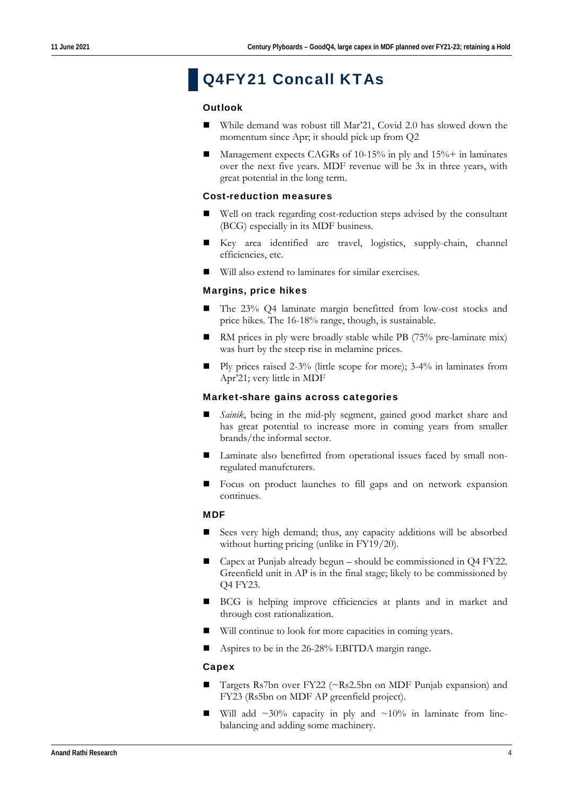# Q4FY21 Concall KTAs

### **Outlook**

- While demand was robust till Mar'21, Covid 2.0 has slowed down the momentum since Apr; it should pick up from Q2
- **Management expects CAGRs of 10-15% in ply and 15%+ in laminates** over the next five years. MDF revenue will be 3x in three years, with great potential in the long term.

### Cost-reduction measures

- Well on track regarding cost-reduction steps advised by the consultant (BCG) especially in its MDF business.
- Key area identified are travel, logistics, supply-chain, channel efficiencies, etc.
- Will also extend to laminates for similar exercises.

#### Margins, price hikes

- The 23% Q4 laminate margin benefitted from low-cost stocks and price hikes. The 16-18% range, though, is sustainable.
- $\blacksquare$  RM prices in ply were broadly stable while PB (75% pre-laminate mix) was hurt by the steep rise in melamine prices.
- Ply prices raised 2-3% (little scope for more); 3-4% in laminates from Apr'21; very little in MDF

Market-share gains across categories

- *Sainik*, being in the mid-ply segment, gained good market share and has great potential to increase more in coming years from smaller brands/the informal sector.
- Laminate also benefitted from operational issues faced by small nonregulated manufcturers.
- Focus on product launches to fill gaps and on network expansion continues.

**MDF** 

- Sees very high demand; thus, any capacity additions will be absorbed without hurting pricing (unlike in FY19/20).
- Capex at Punjab already begun should be commissioned in Q4 FY22. Greenfield unit in AP is in the final stage; likely to be commissioned by Q4 FY23.
- **BCG** is helping improve efficiencies at plants and in market and through cost rationalization.
- Will continue to look for more capacities in coming years.
- Aspires to be in the 26-28% EBITDA margin range.

#### Capex

- Targets Rs7bn over FY22 (~Rs2.5bn on MDF Punjab expansion) and FY23 (Rs5bn on MDF AP greenfield project).
- Will add  $\sim 30\%$  capacity in ply and  $\sim 10\%$  in laminate from linebalancing and adding some machinery.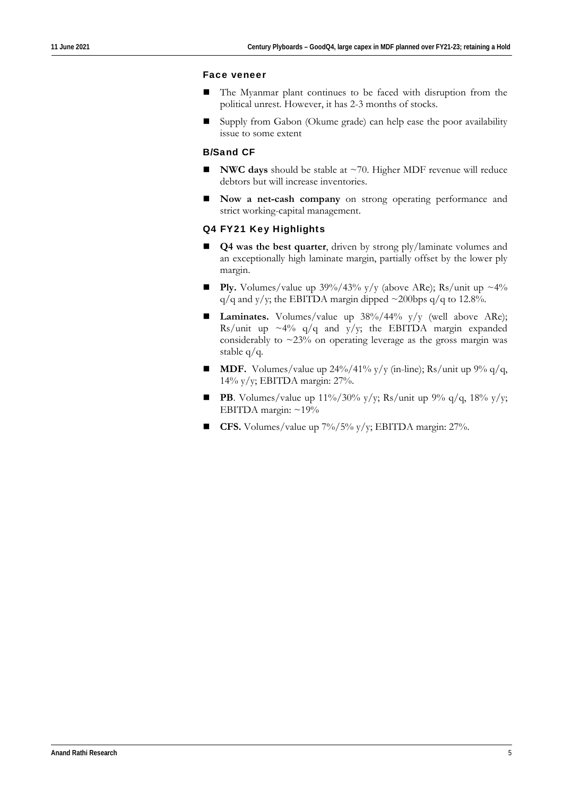#### Face veneer

- The Myanmar plant continues to be faced with disruption from the political unrest. However, it has 2-3 months of stocks.
- Supply from Gabon (Okume grade) can help ease the poor availability issue to some extent

### B/Sand CF

- **NWC days** should be stable at ~70. Higher MDF revenue will reduce debtors but will increase inventories.
- **Now a net-cash company** on strong operating performance and strict working-capital management.

Q4 FY21 Key Highlights

- **Q4 was the best quarter**, driven by strong ply/laminate volumes and an exceptionally high laminate margin, partially offset by the lower ply margin.
- **Ply.** Volumes/value up  $39\%/43\%$  y/y (above ARe); Rs/unit up  $\sim 4\%$  $q/q$  and y/y; the EBITDA margin dipped  $\sim$  200bps  $q/q$  to 12.8%.
- **Laminates.** Volumes/value up 38%/44% y/y (well above ARe); Rs/unit up  $\sim$  4% q/q and y/y; the EBITDA margin expanded considerably to  $\sim$ 23% on operating leverage as the gross margin was stable q/q.
- **MDF.** Volumes/value up  $24\%/41\%$  y/y (in-line); Rs/unit up 9% q/q, 14% y/y; EBITDA margin: 27%.
- **PB**. Volumes/value up 11%/30% y/y; Rs/unit up 9% q/q, 18% y/y; EBITDA margin: ~19%
- CFS. Volumes/value up 7%/5% y/y; EBITDA margin: 27%.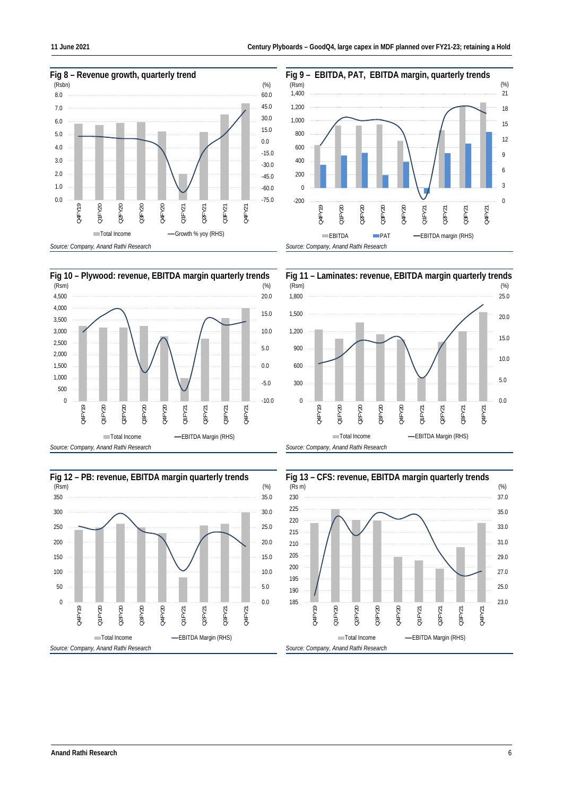











**Anand Rathi Research** 6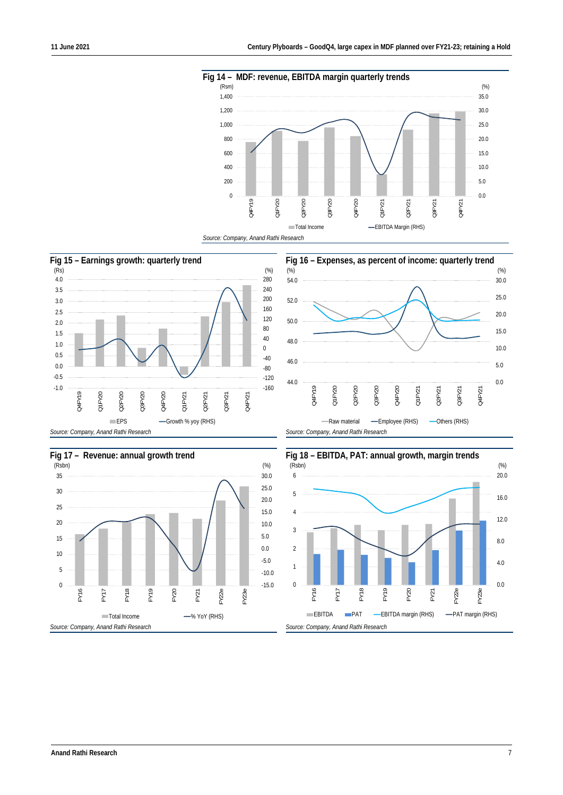









*Source: Company, Anand Rathi Research*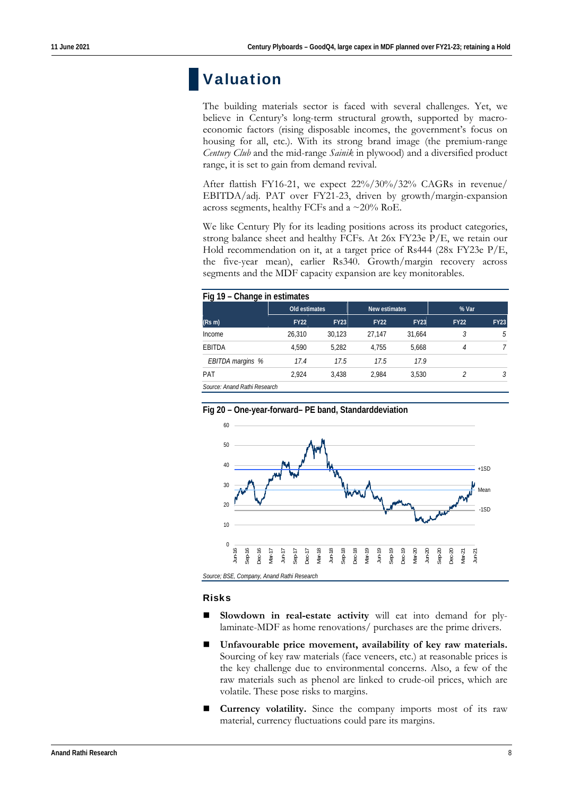# Valuation

The building materials sector is faced with several challenges. Yet, we believe in Century's long-term structural growth, supported by macroeconomic factors (rising disposable incomes, the government's focus on housing for all, etc.). With its strong brand image (the premium-range *Century Club* and the mid-range *Sainik* in plywood) and a diversified product range, it is set to gain from demand revival.

After flattish FY16-21, we expect 22%/30%/32% CAGRs in revenue/ EBITDA/adj. PAT over FY21-23, driven by growth/margin-expansion across segments, healthy FCFs and a  $\sim$ 20% RoE.

We like Century Ply for its leading positions across its product categories, strong balance sheet and healthy FCFs. At 26x FY23e P/E, we retain our Hold recommendation on it, at a target price of Rs444 (28x FY23e P/E, the five-year mean), earlier Rs340. Growth/margin recovery across segments and the MDF capacity expansion are key monitorables.

| Fig 19 - Change in estimates |               |             |               |             |             |               |
|------------------------------|---------------|-------------|---------------|-------------|-------------|---------------|
|                              | Old estimates |             | New estimates |             | % Var       |               |
| (Rs m)                       | <b>FY22</b>   | <b>FY23</b> | <b>FY22</b>   | <b>FY23</b> | <b>FY22</b> | <b>FY23</b>   |
| Income                       | 26.310        | 30.123      | 27.147        | 31.664      | 3.          | 5             |
| EBITDA                       | 4.590         | 5.282       | 4.755         | 5.668       | 4           |               |
| EBITDA margins %             | 17.4          | 17.5        | 17.5          | 179         |             |               |
| <b>PAT</b>                   | 2.924         | 3.438       | 2.984         | 3.530       |             | $\mathcal{E}$ |
| Source: Anand Rathi Research |               |             |               |             |             |               |



### **Fig 20 – One-year-forward– PE band, Standarddeviation**

#### Risks

- **Slowdown in real-estate activity** will eat into demand for plylaminate-MDF as home renovations/ purchases are the prime drivers.
- **Unfavourable price movement, availability of key raw materials.** Sourcing of key raw materials (face veneers, etc.) at reasonable prices is the key challenge due to environmental concerns. Also, a few of the raw materials such as phenol are linked to crude-oil prices, which are volatile. These pose risks to margins.
- **Currency volatility.** Since the company imports most of its raw material, currency fluctuations could pare its margins.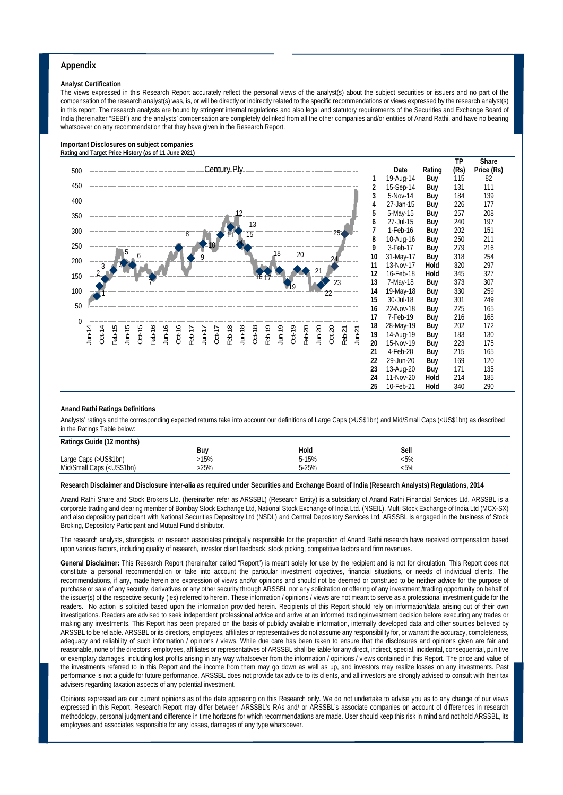#### **Appendix**

#### **Analyst Certification**

The views expressed in this Research Report accurately reflect the personal views of the analyst(s) about the subject securities or issuers and no part of the compensation of the research analyst(s) was, is, or will be directly or indirectly related to the specific recommendations or views expressed by the research analyst(s) in this report. The research analysts are bound by stringent internal regulations and also legal and statutory requirements of the Securities and Exchange Board of India (hereinafter "SEBI") and the analysts' compensation are completely delinked from all the other companies and/or entities of Anand Rathi, and have no bearing whatsoever on any recommendation that they have given in the Research Report.

#### **Important Disclosures on subject companies Rating and Target Price History (as of 11 June 2021)**



#### **Anand Rathi Ratings Definitions**

Analysts' ratings and the corresponding expected returns take into account our definitions of Large Caps (>US\$1bn) and Mid/Small Caps (<US\$1bn) as described in the Ratings Table below:

| Ratings Guide (12 months)                                                                                      |        |       |      |  |
|----------------------------------------------------------------------------------------------------------------|--------|-------|------|--|
|                                                                                                                | Buy    | Hold  | Sell |  |
| Large Caps (>US\$1bn)                                                                                          | 15%    | 5-15% | <5%  |  |
| Mid/Small Caps ( <us\$1bn)< td=""><td><math>-25%</math></td><td>5-25%</td><td>&lt;5%</td><td></td></us\$1bn)<> | $-25%$ | 5-25% | <5%  |  |

#### **Research Disclaimer and Disclosure inter-alia as required under Securities and Exchange Board of India (Research Analysts) Regulations, 2014**

Anand Rathi Share and Stock Brokers Ltd. (hereinafter refer as ARSSBL) (Research Entity) is a subsidiary of Anand Rathi Financial Services Ltd. ARSSBL is a corporate trading and clearing member of Bombay Stock Exchange Ltd, National Stock Exchange of India Ltd. (NSEIL), Multi Stock Exchange of India Ltd (MCX-SX) and also depository participant with National Securities Depository Ltd (NSDL) and Central Depository Services Ltd. ARSSBL is engaged in the business of Stock Broking, Depository Participant and Mutual Fund distributor.

The research analysts, strategists, or research associates principally responsible for the preparation of Anand Rathi research have received compensation based upon various factors, including quality of research, investor client feedback, stock picking, competitive factors and firm revenues.

**General Disclaimer:** This Research Report (hereinafter called "Report") is meant solely for use by the recipient and is not for circulation. This Report does not constitute a personal recommendation or take into account the particular investment objectives, financial situations, or needs of individual clients. The recommendations, if any, made herein are expression of views and/or opinions and should not be deemed or construed to be neither advice for the purpose of purchase or sale of any security, derivatives or any other security through ARSSBL nor any solicitation or offering of any investment /trading opportunity on behalf of the issuer(s) of the respective security (ies) referred to herein. These information / opinions / views are not meant to serve as a professional investment guide for the readers. No action is solicited based upon the information provided herein. Recipients of this Report should rely on information/data arising out of their own investigations. Readers are advised to seek independent professional advice and arrive at an informed trading/investment decision before executing any trades or making any investments. This Report has been prepared on the basis of publicly available information, internally developed data and other sources believed by ARSSBL to be reliable. ARSSBL or its directors, employees, affiliates or representatives do not assume any responsibility for, or warrant the accuracy, completeness, adequacy and reliability of such information / opinions / views. While due care has been taken to ensure that the disclosures and opinions given are fair and reasonable, none of the directors, employees, affiliates or representatives of ARSSBL shall be liable for any direct, indirect, special, incidental, consequential, punitive or exemplary damages, including lost profits arising in any way whatsoever from the information / opinions / views contained in this Report. The price and value of the investments referred to in this Report and the income from them may go down as well as up, and investors may realize losses on any investments. Past performance is not a guide for future performance. ARSSBL does not provide tax advice to its clients, and all investors are strongly advised to consult with their tax advisers regarding taxation aspects of any potential investment.

Opinions expressed are our current opinions as of the date appearing on this Research only. We do not undertake to advise you as to any change of our views expressed in this Report. Research Report may differ between ARSSBL's RAs and/ or ARSSBL's associate companies on account of differences in research methodology, personal judgment and difference in time horizons for which recommendations are made. User should keep this risk in mind and not hold ARSSBL, its employees and associates responsible for any losses, damages of any type whatsoever.